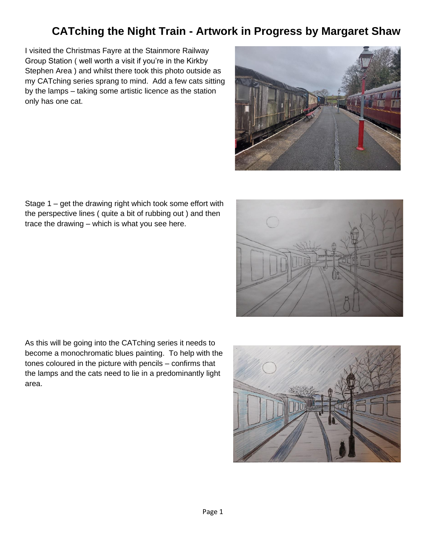## **CATching the Night Train - Artwork in Progress by Margaret Shaw**

I visited the Christmas Fayre at the Stainmore Railway Group Station ( well worth a visit if you're in the Kirkby Stephen Area ) and whilst there took this photo outside as my CATching series sprang to mind. Add a few cats sitting by the lamps – taking some artistic licence as the station only has one cat.



Stage 1 – get the drawing right which took some effort with the perspective lines ( quite a bit of rubbing out ) and then trace the drawing – which is what you see here.



As this will be going into the CATching series it needs to become a monochromatic blues painting. To help with the tones coloured in the picture with pencils – confirms that the lamps and the cats need to lie in a predominantly light area.

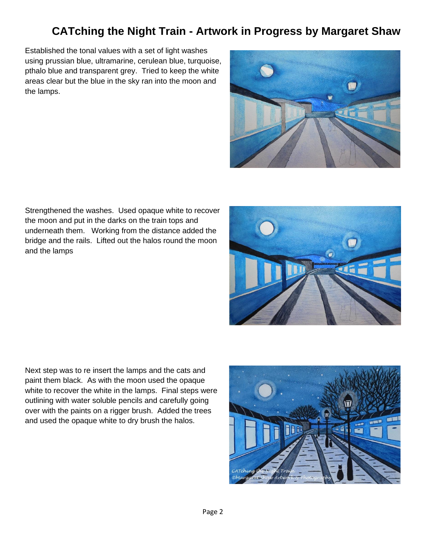## **CATching the Night Train - Artwork in Progress by Margaret Shaw**

Established the tonal values with a set of light washes using prussian blue, ultramarine, cerulean blue, turquoise, pthalo blue and transparent grey. Tried to keep the white areas clear but the blue in the sky ran into the moon and the lamps.



Strengthened the washes. Used opaque white to recover the moon and put in the darks on the train tops and underneath them. Working from the distance added the bridge and the rails. Lifted out the halos round the moon and the lamps



Next step was to re insert the lamps and the cats and paint them black. As with the moon used the opaque white to recover the white in the lamps. Final steps were outlining with water soluble pencils and carefully going over with the paints on a rigger brush. Added the trees and used the opaque white to dry brush the halos.